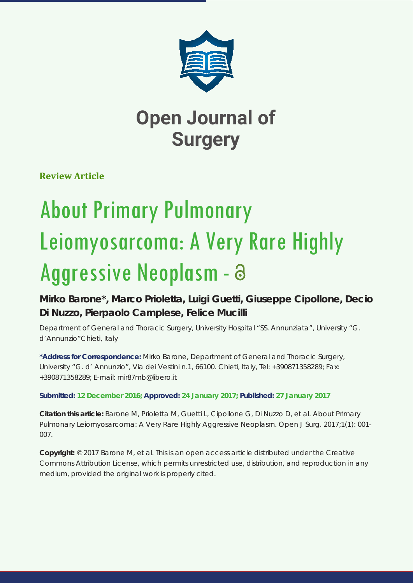

**Review Article**

# About Primary Pulmonary Leiomyosarcoma: A Very Rare Highly Aggressive Neoplasm -

**Mirko Barone\*, Marco Prioletta, Luigi Guetti, Giuseppe Cipollone, Decio Di Nuzzo, Pierpaolo Camplese, Felice Mucilli**

*Department of General and Thoracic Surgery, University Hospital "SS. Annunziata", University "G. d'Annunzio"Chieti, Italy*

**\*Address for Correspondence:** Mirko Barone, Department of General and Thoracic Surgery, University "G. d' Annunzio", Via dei Vestini n.1, 66100. Chieti, Italy, Tel: +390871358289; Fax: +390871358289; E-mail: mir87mb@libero.it

**Submitted: 12 December 2016; Approved: 24 January 2017; Published: 27 January 2017**

**Citation this article:** Barone M, Prioletta M, Guetti L, Cipollone G, Di Nuzzo D, et al. About Primary Pulmonary Leiomyosarcoma: A Very Rare Highly Aggressive Neoplasm. Open J Surg. 2017;1(1): 001- 007.

**Copyright:** © 2017 Barone M, et al. This is an open access article distributed under the Creative Commons Attribution License, which permits unrestricted use, distribution, and reproduction in any medium, provided the original work is properly cited.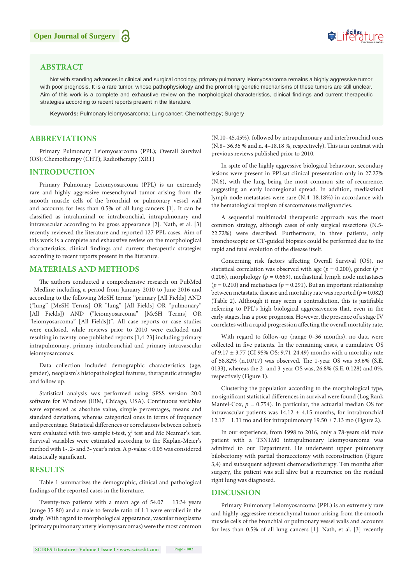## **ABSTRACT**

Not with standing advances in clinical and surgical oncology, primary pulmonary leiomyosarcoma remains a highly aggressive tumor with poor prognosis. It is a rare tumor, whose pathophysiology and the promoting genetic mechanisms of these tumors are still unclear. Aim of this work is a complete and exhaustive review on the morphological characteristics, clinical findings and current therapeutic strategies according to recent reports present in the literature.

**Keywords:** Pulmonary leiomyosarcoma; Lung cancer; Chemotherapy; Surgery

#### **ABBREVIATIONS**

Primary Pulmonary Leiomyosarcoma (PPL); Overall Survival (OS); Chemotherapy (CHT); Radiotherapy (XRT)

#### **INTRODUCTION**

Primary Pulmonary Leiomyosarcoma (PPL) is an extremely rare and highly aggressive mesenchymal tumor arising from the smooth muscle cells of the bronchial or pulmonary vessel wall and accounts for less than 0.5% of all lung cancers [1]. It can be classified as intraluminal or intrabronchial, intrapulmonary and intravascular according to its gross appearance [2]. Nath, et al. [3] recently reviewed the literature and reported 127 PPL cases. Aim of this work is a complete and exhaustive review on the morphological characteristics, clinical findings and current therapeutic strategies according to recent reports present in the literature.

#### **MATERIALS AND METHODS**

The authors conducted a comprehensive research on PubMed - Medline including a period from January 2010 to June 2016 and according to the following MeSH terms: "primary [All Fields] AND ("lung" [MeSH Terms] OR "lung" [All Fields] OR "pulmonary" [All Fields]) AND ("leiomyosarcoma" [MeSH Terms] OR "leiomyosarcoma" [All Fields])". All case reports or case studies were enclosed, while reviews prior to 2010 were excluded and resulting in twenty-one published reports [1,4-23] including primary intrapulmonary, primary intrabronchial and primary intravascular leiomyosarcomas.

Data collection included demographic characteristics (age, gender), neoplasm's histopathological features, therapeutic strategies and follow up.

Statistical analysis was performed using SPSS version 20.0 software for Windows (IBM, Chicago, USA). Continuous variables were expressed as absolute value, simple percentages, means and standard deviations, whereas categorical ones in terms of frequency and percentage. Statistical differences or correlations between cohorts were evaluated with two sample t-test,  $\chi^2$  test and Mc Neamar's test. Survival variables were estimated according to the Kaplan-Meier's method with 1-, 2- and 3- year's rates. A p-value < 0.05 was considered statistically significant.

#### **RESULTS**

Table 1 summarizes the demographic, clinical and pathological findings of the reported cases in the literature.

Twenty-two patients with a mean age of  $54.07 \pm 13:34$  years (range 35-80) and a male to female ratio of 1:1 were enrolled in the study. With regard to morphological appearance, vascular neoplasms (primary pulmonary artery leiomyosarcomas) were the most common (N.10–45.45%), followed by intrapulmonary and interbronchial ones (N.8– 36.36 % and n. 4–18.18 %, respectively). This is in contrast with previous reviews published prior to 2010.

Suifes ture

In spite of the highly aggressive biological behaviour, secondary lesions were present in PPLsat clinical presentation only in 27.27% (N.6), with the lung being the most common site of recurrence, suggesting an early locoregional spread. In addition, mediastinal lymph node metastases were rare (N.4–18.18%) in accordance with the hematological tropism of sarcomatous malignancies.

A sequential multimodal therapeutic approach was the most common strategy, although cases of only surgical resections (N.5- 22.72%) were described. Furthermore, in three patients, only bronchoscopic or CT-guided biopsies could be performed due to the rapid and fatal evolution of the disease itself.

Concerning risk factors affecting Overall Survival (OS), no statistical correlation was observed with age ( $p = 0.200$ ), gender ( $p =$ 0.206), morphology ( $p = 0.669$ ), mediastinal lymph node metastases  $(p = 0.210)$  and metastases  $(p = 0.291)$ . But an important relationship between metastatic disease and mortality rate was reported ( $p = 0.082$ ) (Table 2). Although it may seem a contradiction, this is justifiable referring to PPL's high biological aggressiveness that, even in the early stages, has a poor prognosis. However, the presence of a stage IV correlates with a rapid progression affecting the overall mortality rate.

With regard to follow-up (range 0–36 months), no data were collected in five patients. In the remaining cases, a cumulative OS of 9.17 ± 3.77 (CI 95% OS: 9.71-24.49) months with a mortality rate of 58.82% (n.10/17) was observed. The 1-year OS was 53.6% (S.E. 0133), whereas the 2- and 3-year OS was, 26.8% (S.E. 0.128) and 0%, respectively (Figure 1).

Clustering the population according to the morphological type, no significant statistical differences in survival were found (Log Rank Mantel-Cox,  $p = 0.754$ ). In particular, the actuarial median OS for intravascular patients was  $14.12 \pm 4.15$  months, for intrabronchial  $12.17 \pm 1.31$  mo and for intrapulmonary  $19.50 \pm 7.13$  mo (Figure 2).

In our experience, from 1998 to 2016, only a 78-years old male patient with a T3N1M0 intrapulmonary leiomyosarcoma was admitted to our Department. He underwent upper pulmonary bilobectomy with partial thoracectomy with reconstruction (Figure 3,4) and subsequent adjuvant chemoradiotherapy. Ten months after surgery, the patient was still alive but a recurrence on the residual right lung was diagnosed.

#### **DISCUSSION**

Primary Pulmonary Leiomyosarcoma (PPL) is an extremely rare and highly-aggressive mesenchymal tumor arising from the smooth muscle cells of the bronchial or pulmonary vessel walls and accounts for less than 0.5% of all lung cancers [1]. Nath, et al. [3] recently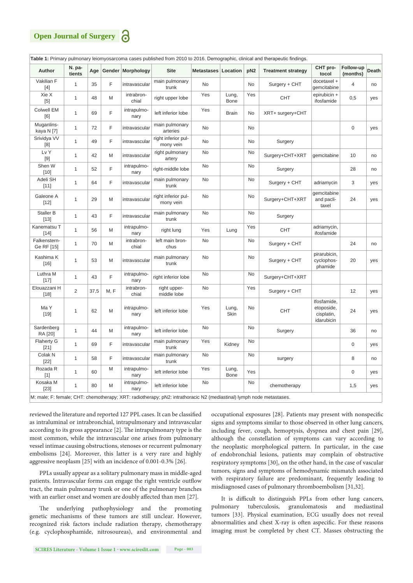

M: male; F: female; CHT: chemotherapy; XRT: radiotherapy; pN2: intrathoracic N2 (mediastinal) lymph node metastases.

reviewed the literature and reported 127 PPL cases. It can be classified as intraluminal or intrabronchial, intrapulmonary and intravascular according to its gross appearance [2]. The intrapulmonary type is the most common, while the intravascular one arises from pulmonary vessel intimae causing obstructions, stenoses or recurrent pulmonary embolisms [24]. Moreover, this latter is a very rare and highly aggressive neoplasm [25] with an incidence of 0.001-0.3% [26].

PPLs usually appear as a solitary pulmonary mass in middle-aged patients. Intravascular forms can engage the right ventricle outflow tract, the main pulmonary trunk or one of the pulmonary branches with an earlier onset and women are doubly affected than men [27].

The underlying pathophysiology and the promoting genetic mechanisms of these tumors are still unclear. However, recognized risk factors include radiation therapy, chemotherapy (e.g. cyclophosphamide, nitrosoureas), and environmental and occupational exposures [28]. Patients may present with nonspecific signs and symptoms similar to those observed in other lung cancers, including fever, cough, hemoptysis, dyspnea and chest pain [29], although the constellation of symptoms can vary according to the neoplastic morphological pattern. In particular, in the case of endobronchial lesions, patients may complain of obstructive respiratory symptoms [30], on the other hand, in the case of vascular tumors, signs and symptoms of hemodynamic mismatch associated with respiratory failure are predominant, frequently leading to misdiagnosed cases of pulmonary thromboembolism [31,32].

It is difficult to distinguish PPLs from other lung cancers, pulmonary tuberculosis, granulomatosis and mediastinal tumors [33]. Physical examination, ECG usually does not reveal abnormalities and chest X-ray is often aspecific. For these reasons imaging must be completed by chest CT. Masses obstructing the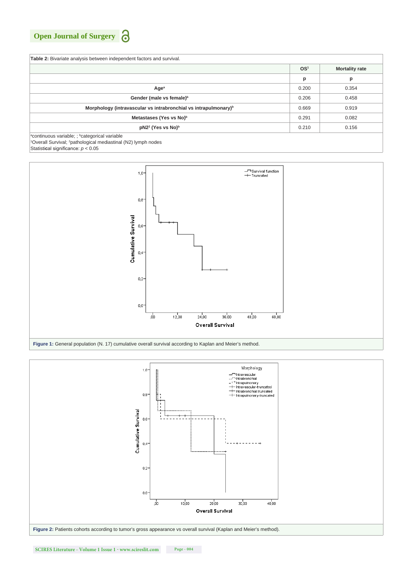| <b>Table 2:</b> Bivariate analysis between independent factors and survival.                                                                                   |                 |                       |
|----------------------------------------------------------------------------------------------------------------------------------------------------------------|-----------------|-----------------------|
|                                                                                                                                                                | OS <sup>1</sup> | <b>Mortality rate</b> |
|                                                                                                                                                                | р               | p                     |
| Age <sup>a</sup>                                                                                                                                               | 0.200           | 0.354                 |
| Gender (male vs female) <sup>b</sup>                                                                                                                           | 0.206           | 0.458                 |
| Morphology (intravascular vs intrabronchial vs intrapulmonary) <sup>b</sup>                                                                                    | 0.669           | 0.919                 |
| Metastases (Yes vs No) <sup>b</sup>                                                                                                                            | 0.291           | 0.082                 |
| pN2 <sup>2</sup> (Yes vs No) <sup>b</sup>                                                                                                                      | 0.210           | 0.156                 |
| <sup>a</sup> continuous variable; ; <sup>b</sup> categorical variable<br><sup>1</sup> Overall Survival; <sup>2</sup> pathological mediastinal (N2) lymph nodes |                 |                       |

Statisti**c**al significance: *p* < 0.05



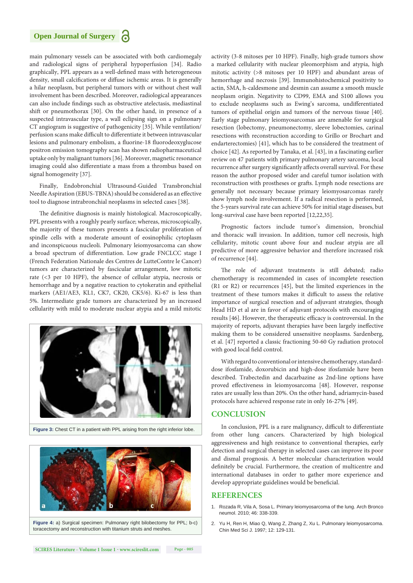main pulmonary vessels can be associated with both cardiomegaly and radiological signs of peripheral hypoperfusion [34]. Radio graphically, PPL appears as a well-defined mass with heterogeneous density, small calcifications or diffuse ischemic areas. It is generally a hilar neoplasm, but peripheral tumors with or without chest wall involvement has been described. Moreover, radiological appearances can also include findings such as obstructive atelectasis, mediastinal shift or pneumothorax [30]. On the other hand, in presence of a suspected intravascular type, a wall eclipsing sign on a pulmonary CT angiogram is suggestive of pathogenicity [35]. While ventilation/ perfusion scans make difficult to differentiate it between intravascular lesions and pulmonary embolism, a fluorine-18 fluorodeoxyglucose positron emission tomography scan has shown radiopharmaceutical uptake only by malignant tumors [36]. Moreover, magnetic resonance imaging could also differentiate a mass from a thrombus based on signal homogeneity [37].

Finally, Endobronchial Ultrasound-Guided Transbronchial Needle Aspiration (EBUS-TBNA) should be considered as an effective tool to diagnose intrabronchial neoplasms in selected cases [38].

The definitive diagnosis is mainly histological. Macroscopically, PPL presents with a roughly pearly surface; whereas, microscopically, the majority of these tumors presents a fascicular proliferation of spindle cells with a moderate amount of eosinophilic cytoplasm and inconspicuous nucleoli. Pulmonary leiomyosarcoma can show a broad spectrum of differentiation. Low grade FNCLCC stage I (French Federation Nationale des Centres de LutteContre le Cancer) tumors are characterized by fascicular arrangement, low mitotic rate (<3 per 10 HPF), the absence of cellular atypia, necrosis or hemorrhage and by a negative reaction to cytokeratin and epithelial markers (AE1/AE3, KL1, CK7, CK20, CK5/6). Ki-67 is less than 5%. Intermediate grade tumors are characterized by an increased cellularity with mild to moderate nuclear atypia and a mild mitotic



**Figure 3:** Chest CT in a patient with PPL arising from the right inferior lobe.



**Figure 4:** a) Surgical specimen: Pulmonary right bilobectomy for PPL; b-c) toracectomy and reconstruction with titanium struts and meshes.

activity (3-8 mitoses per 10 HPF). Finally, high-grade tumors show a marked cellularity with nuclear pleomorphism and atypia, high mitotic activity (>8 mitoses per 10 HPF) and abundant areas of hemorrhage and necrosis [39]. Immunohistochemical positivity to actin, SMA, h-caldesmone and desmin can assume a smooth muscle neoplasm origin. Negativity to CD99, EMA and S100 allows you to exclude neoplasms such as Ewing's sarcoma, undifferentiated tumors of epithelial origin and tumors of the nervous tissue [40]. Early stage pulmonary leiomyosarcomas are amenable for surgical resection (lobectomy, pneumonectomy, sleeve lobectomies, carinal resections with reconstruction according to Grillo or Brochart and endarterectomies) [41], which has to be considered the treatment of choice [42]. As reported by Tanaka, et al. [43], in a fascinating earlier review on 47 patients with primary pulmonary artery sarcoma, local recurrence after surgery significantly affects overall survival. For these reason the author proposed wider and careful tumor isolation with reconstruction with prostheses or grafts. Lymph node resections are generally not necessary because primary leiomyosarcomas rarely show lymph node involvement. If a radical resection is performed, the 5-years survival rate can achieve 50% for initial stage diseases, but long-survival case have been reported [12,22,35].

Prognostic factors include tumor's dimension, bronchial and thoracic wall invasion. In addition, tumor cell necrosis, high cellularity, mitotic count above four and nuclear atypia are all predictive of more aggressive behavior and therefore increased risk of recurrence [44].

The role of adjuvant treatments is still debated; radio chemotherapy is recommended in cases of incomplete resection (R1 or R2) or recurrences [45], but the limited experiences in the treatment of these tumors makes it difficult to assess the relative importance of surgical resection and of adjuvant strategies, though Head HD et al are in favor of adjuvant protocols with encouraging results [46]. However, the therapeutic efficacy is controversial. In the majority of reports, adjuvant therapies have been largely ineffective making them to be considered unsensitive neoplasms. Sardenberg, et al. [47] reported a classic fractioning 50-60 Gy radiation protocol with good local field control.

With regard to conventional or intensive chemotherapy, standarddose ifosfamide, doxorubicin and high-dose ifosfamide have been described. Trabectedin and dacarbazine as 2nd-line options have proved effectiveness in leiomyosarcoma [48]. However, response rates are usually less than 20%. On the other hand, adriamycin-based protocols have achieved response rate in only 16-27% [49].

# **CONCLUSION**

In conclusion, PPL is a rare malignancy, difficult to differentiate from other lung cancers. Characterized by high biological aggressiveness and high resistance to conventional therapies, early detection and surgical therapy in selected cases can improve its poor and dismal prognosis. A better molecular characterization would definitely be crucial. Furthermore, the creation of multicentre and international databases in order to gather more experience and develop appropriate guidelines would be beneficial.

#### **REFERENCES**

- 1. [Rozada R, Vila A, Sosa L. Primary leiomyosarcoma of the lung. Arch Bronco](https://www.ncbi.nlm.nih.gov/pubmed/20092929)  [neumol. 2010; 46: 338-339.](https://www.ncbi.nlm.nih.gov/pubmed/20092929)
- 2. [Yu H, Ren H, Miao Q, Wang Z, Zhang Z, Xu L. Pulmonary leiomyosarcoma.](https://www.ncbi.nlm.nih.gov/pubmed/11324500)  [Chin Med Sci J. 1997; 12: 129-131.](https://www.ncbi.nlm.nih.gov/pubmed/11324500)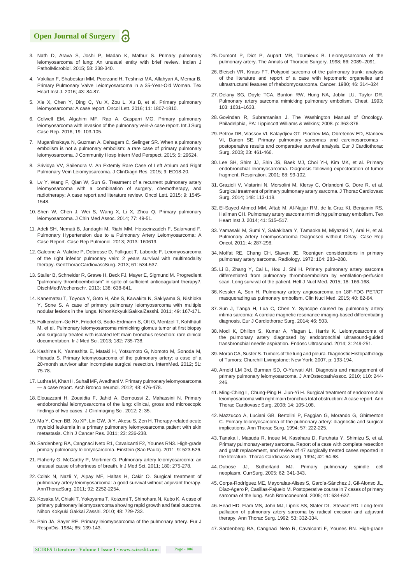- 3. [Nath D, Arava S, Joshi P, Madan K, Mathur S. Primary pulmonary](https://www.ncbi.nlm.nih.gov/pubmed/26275258)  [leiomyosarcoma of lung: An unusual entity with brief review. Indian J](https://www.ncbi.nlm.nih.gov/pubmed/26275258)  [PatholMicrobiol. 2015; 58: 338-340.](https://www.ncbi.nlm.nih.gov/pubmed/26275258)
- 4. [Vakilian F, Shabestari MM, Poorzand H, Teshnizi MA, Allahyari A, Memar B.](https://www.ncbi.nlm.nih.gov/pubmed/27047294/)  [Primary Pulmonary Valve Leiomyosarcoma in a 35-Year-Old Woman. Tex](https://www.ncbi.nlm.nih.gov/pubmed/27047294/)  [Heart Inst J. 2016; 43: 84-87.](https://www.ncbi.nlm.nih.gov/pubmed/27047294/)
- 5. [Xie X, Chen Y, Ding C, Yu X, Zou L, Xu B, et al. Primary pulmonary](https://www.ncbi.nlm.nih.gov/pubmed/26998080/)  [leiomyosarcoma: A case report. Oncol Lett. 2016; 11: 1807-1810.](https://www.ncbi.nlm.nih.gov/pubmed/26998080/)
- 6. [Colwell EM, Algahim MF, Rao A, Gasparri MG. Primary pulmonary](https://www.ncbi.nlm.nih.gov/pubmed/26745312)  [leiomyosarcoma with invasion of the pulmonary vein-A case report. Int J Surg](https://www.ncbi.nlm.nih.gov/pubmed/26745312)  [Case Rep. 2016; 19: 103-105.](https://www.ncbi.nlm.nih.gov/pubmed/26745312)
- 7. [Muganlinskaya N, Guzman A, Dahagam C, Selinger SR. When a pulmonary](https://www.ncbi.nlm.nih.gov/pubmed/26653696/)  [embolism is not a pulmonary embolism: a rare case of primary pulmonary](https://www.ncbi.nlm.nih.gov/pubmed/26653696/)  [leiomyosarcoma. J Community Hosp Intern Med Perspect. 2015; 5: 29624.](https://www.ncbi.nlm.nih.gov/pubmed/26653696/)
- 8. [Srividya VV, Sailendra V. An Extemly Rare Case of Left Atrium and Right](https://www.ncbi.nlm.nih.gov/pubmed/26500918/)  [Pulmonary Vein Leiomyosarcoma. J ClinDiagn Res. 2015; 9: ED18-20.](https://www.ncbi.nlm.nih.gov/pubmed/26500918/)
- 9. [Lv Y, Wang F, Qian W, Sun G. Treatment of a recurrent pulmonary artery](https://www.ncbi.nlm.nih.gov/pubmed/25788998/)  [leiomyosarcoma with a combination of surgery, chemotherapy, and](https://www.ncbi.nlm.nih.gov/pubmed/25788998/)  [radiotherapy: A case report and literature review. Oncol Lett. 2015; 9: 1545-](https://www.ncbi.nlm.nih.gov/pubmed/25788998/) [1548.](https://www.ncbi.nlm.nih.gov/pubmed/25788998/)
- 10. [Shen W, Chen J, Wei S, Wang X, Li X, Zhou Q. Primary pulmonary](http://www.jcma-online.com/article/S1726-4901(13)00277-3/abstract)  [leiomyosarcoma. J Chin Med Assoc. 2014; 77: 49-51.](http://www.jcma-online.com/article/S1726-4901(13)00277-3/abstract)
- 11. [Adeli SH, Nemati B, Jandaghi M, Riahi MM, Hosseinzadeh F, Salarvand F.](https://www.hindawi.com/journals/cripu/2013/160619/)  [Pulmonary Hypertension due to a Pulmonary Artery Leiomyosarcoma: A](https://www.hindawi.com/journals/cripu/2013/160619/)  [Case Report. Case Rep Pulmonol. 2013; 2013: 160619.](https://www.hindawi.com/journals/cripu/2013/160619/)
- 12. [Galeone A, Validire P, Debrosse D, Folliguet T, Laborde F. Leiomyosarcoma](https://www.ncbi.nlm.nih.gov/pubmed/23224659)  [of the right inferior pulmonary vein: 2 years survival with multimodality](https://www.ncbi.nlm.nih.gov/pubmed/23224659)  [therapy. GenThoracCardiovascSurg. 2013; 61: 534-537.](https://www.ncbi.nlm.nih.gov/pubmed/23224659)
- 13. [Staller B, Schneider R, Grawe H, Beck FJ, Mayer E, Sigmund M. Progredient](https://www.ncbi.nlm.nih.gov/pubmed/23512363)  ["pulmonary thromboembolism" in spite of sufficient anticoagulant therapy?.](https://www.ncbi.nlm.nih.gov/pubmed/23512363)  [DtschMedWochenschr. 2013; 138: 638-641.](https://www.ncbi.nlm.nih.gov/pubmed/23512363)
- 14. [Kanematsu T, Toyoda Y, Goto H, Abe S, Kawakita N, Sakiyama S, Nishioka](https://www.ncbi.nlm.nih.gov/pubmed/21485148)  [Y, Sone S. A case of primary pulmonary leiomyosarcoma with multiple](https://www.ncbi.nlm.nih.gov/pubmed/21485148)  [nodular lesions in the lungs. NihonKokyukiGakkaiZasshi. 2011; 49: 167-171.](https://www.ncbi.nlm.nih.gov/pubmed/21485148)
- 15. [Falkenstern-Ge RF, Friedel G, Bode-Erdmann S, Ott G, Mentzel T, Kohlhäufl](https://www.ncbi.nlm.nih.gov/pubmed/23636708)  [M, et al. Pulmonary leiomyosarcoma mimicking glomus tumor at first biopsy](https://www.ncbi.nlm.nih.gov/pubmed/23636708)  [and surgically treated with isolated left main bronchus resection: rare clinical](https://www.ncbi.nlm.nih.gov/pubmed/23636708)  [documentation. Ir J Med Sci. 2013; 182: 735-738.](https://www.ncbi.nlm.nih.gov/pubmed/23636708)
- 16. [Kashima K, Yamashita E, Mataki H, Yotsumoto G, Nomoto M, Sonoda M,](https://www.ncbi.nlm.nih.gov/pubmed/22214627)  [Hanada S. Primary leiomyosarcoma of the pulmonary artery: a case of a](https://www.ncbi.nlm.nih.gov/pubmed/22214627)  [20-month survivor after incomplete surgical resection. InternMed. 2012; 51:](https://www.ncbi.nlm.nih.gov/pubmed/22214627)  [75-78.](https://www.ncbi.nlm.nih.gov/pubmed/22214627)
- 17. [Luthra M, Khan H, Suhail MF, Avadhani V. Primary pulmonary leiomyosarcoma](https://www.ncbi.nlm.nih.gov/pubmed/22410283)  [— a case report. Arch Bronco neumol. 2012; 48: 476-478.](https://www.ncbi.nlm.nih.gov/pubmed/22410283)
- 18. [Elouazzani H, Zouaidia F, Jahid A, Bernoussi Z, Mahassini N. Primary](https://www.ncbi.nlm.nih.gov/pubmed/22919549/)  [endobronchial leiomyosarcoma of the lung: clinical, gross and microscopic](https://www.ncbi.nlm.nih.gov/pubmed/22919549/)  findings of two cases. [J ClinImaging Sci. 2012; 2: 35.](https://www.ncbi.nlm.nih.gov/pubmed/22919549/)
- 19. [Ma Y, Chen BB, Xu XP, Lin GW, Ji Y, Akesu S, Zen H. Therapy-related acute](https://www.ncbi.nlm.nih.gov/pubmed/23467305)  [myeloid leukemia in a primary pulmonary leiomyosarcoma patient with skin](https://www.ncbi.nlm.nih.gov/pubmed/23467305)  [metastasis. Chin J Cancer Res. 2011; 23: 236-238.](https://www.ncbi.nlm.nih.gov/pubmed/23467305)
- 20. [Sardenberg RA, Cangnaci Neto R1, Cavalcanti F2, Younes RN3. High-grade](https://www.ncbi.nlm.nih.gov/pubmed/26761258)  [primary pulmonary leiomyosarcoma. Einstein \(Sao Paulo\). 2011; 9: 523-526.](https://www.ncbi.nlm.nih.gov/pubmed/26761258)
- 21. [Flaherty G, McCarthy P, Mortimer G. Pulmonary artery leiomyosarcoma: an](https://www.ncbi.nlm.nih.gov/pubmed/19921308)  [unusual cause of shortness of breath. Ir J Med Sci. 2011; 180: 275-278.](https://www.ncbi.nlm.nih.gov/pubmed/19921308)
- 22. [Colak N, Nazli Y, Alpay MF, Haltas H, Cakir O. Surgical treatment of](https://www.ncbi.nlm.nih.gov/pubmed/22115240)  [pulmonary artery leiomyosarcoma: a good survival without adjuvant therapy.](https://www.ncbi.nlm.nih.gov/pubmed/22115240)  [AnnThoracSurg. 2011; 92: 2252-2254.](https://www.ncbi.nlm.nih.gov/pubmed/22115240)
- 23. [Kosaka M, Chiaki T, Yokoyama T, Koizumi T, Shinohara N, Kubo K. A case of](https://www.ncbi.nlm.nih.gov/pubmed/21066859)  [primary pulmonary leiomyosarcoma showing rapid growth and fatal outcome.](https://www.ncbi.nlm.nih.gov/pubmed/21066859)  [Nihon Kokyuki Gakkai Zasshi. 2010; 48: 729-733.](https://www.ncbi.nlm.nih.gov/pubmed/21066859)
- 24. [Pain JA, Sayer RE. Primary leiomyosarcoma of the pulmonary artery. Eur J](https://www.ncbi.nlm.nih.gov/pubmed/6698137)  [RespirDis. 1984; 65: 139-143.](https://www.ncbi.nlm.nih.gov/pubmed/6698137)
- 25. [Dumont P, Diot P, Aupart MR, Toumieux B. Leiomyosarcoma of the](http://www.annalsthoracicsurgery.org/article/S0003-4975(98)01070-4/abstract)  pulmonary artery. [The Annals of Thoracic Surgery.](http://www.annalsthoracicsurgery.org/article/S0003-4975(98)01070-4/abstract) 1998; 66: 2089–2091.
- 26. [Bleisch VR, Kraus FT. Polypoid sarcoma of the pulmonary trunk: analysis](https://www.ncbi.nlm.nih.gov/pubmed/7388774)  [of the literature and report of a case with leptomeric organelles and](https://www.ncbi.nlm.nih.gov/pubmed/7388774)  [ultrastructural features of rhabdomyosarcoma.](https://www.ncbi.nlm.nih.gov/pubmed/7388774) Cancer. 1980; 46: 314–324
- 27. [Delany SG, Doyle TCA, Bunton RW, Hung NA, Joblin LU, Taylor DR.](https://www.ncbi.nlm.nih.gov/pubmed/8486069)  [Pulmonary artery sarcoma mimicking pulmonary embolism.](https://www.ncbi.nlm.nih.gov/pubmed/8486069) Chest. 1993; [103: 1631–1633.](https://www.ncbi.nlm.nih.gov/pubmed/8486069)
- 28. Govindan R. Subramanian J. The Washington Manual of Oncology [Philadelphia, PA: Lippincott Williams & Wilkins; 2008. p: 363-376.](https://books.google.co.in/books?id=U4di7rRgYQoC&dq)
- 29. [Petrov DB, Vlassov VI, Kalaydjiev GT, Plochev MA, Obretenov ED, Stanoev](https://www.ncbi.nlm.nih.gov/pubmed/12694760)  VI, Danon SE. Primary pulmonary sarcomas and carcinosarcomas [postoperative results and comparative survival analysis. Eur J Cardiothorac](https://www.ncbi.nlm.nih.gov/pubmed/12694760)  [Surg. 2003; 23: 461-466.](https://www.ncbi.nlm.nih.gov/pubmed/12694760)
- 30. [Lee SH, Shim JJ, Shin JS, Baek MJ, Choi YH, Kim MK, et al. Primary](https://www.ncbi.nlm.nih.gov/pubmed/11223740)  [endobronchial leiomyosarcoma. Diagnosis following expectoration of tumor](https://www.ncbi.nlm.nih.gov/pubmed/11223740)  [fragment. Respiration. 2001; 68: 99-102.](https://www.ncbi.nlm.nih.gov/pubmed/11223740)
- 31. [Grazioli V, Vistarini N, Morsolini M, Klersy C, Orlandoni G, Dore R, et al.](https://www.ncbi.nlm.nih.gov/pubmed/24075471)  [Surgical treatment of primary pulmonary artery sarcoma. J Thorac Cardiovasc](https://www.ncbi.nlm.nih.gov/pubmed/24075471)  [Surg. 2014; 148: 113-118.](https://www.ncbi.nlm.nih.gov/pubmed/24075471)
- 32. [El-Sayed Ahmed MM, Aftab M, Al-Najjar RM, de la Cruz KI, Benjamin RS,](https://www.ncbi.nlm.nih.gov/pubmed/25425986/)  [Hallman CH. Pulmonary artery sarcoma mimicking pulmonary embolism.](https://www.ncbi.nlm.nih.gov/pubmed/25425986/) Tex Heart Inst J. [2014; 41: 515–517.](https://www.ncbi.nlm.nih.gov/pubmed/25425986/)
- 33. [Yamasaki M, Sumi Y, Sakakibara Y, Tamaoka M, Miyazaki Y, Arai H, et al.](https://www.ncbi.nlm.nih.gov/pubmed/21734884/)  [Pulmonary Artery Leiomyosarcoma Diagnosed without Delay. Case Rep](https://www.ncbi.nlm.nih.gov/pubmed/21734884/)  [Oncol. 2011; 4: 287-298.](https://www.ncbi.nlm.nih.gov/pubmed/21734884/)
- 34. [Moffat RE, Chang CH, Slaven JE. Roentgen considerations in primary](https://www.ncbi.nlm.nih.gov/pubmed/5044981)  [pulmonary artery sarcoma. Radiology.](https://www.ncbi.nlm.nih.gov/pubmed/5044981) 1972; 104: 283–288.
- 35. [Li B, Zhang Y, Cai L, Hou J, Shi H. Primary pulmonary artery sarcoma](https://www.ncbi.nlm.nih.gov/pubmed/26187220)  [differentiated from pulmonary thromboembolism by ventilation-perfusion](https://www.ncbi.nlm.nih.gov/pubmed/26187220)  scan. Long survival of the patient. [Hell J Nucl Med. 2015; 18: 166-168.](https://www.ncbi.nlm.nih.gov/pubmed/26187220)
- 36. [Kessler A, Son H. Pulmonary artery angiosarcoma on 18F-FDG PET/CT](https://www.ncbi.nlm.nih.gov/pubmed/25423348)  [masquerading as pulmonary embolism.](https://www.ncbi.nlm.nih.gov/pubmed/25423348) Clin Nucl Med. 2015; 40: 82-84.
- 37. [Sun J, Tanga H, Lua C, Chen Y. Syncope caused by pulmonary artery](https://www.ncbi.nlm.nih.gov/pubmed/24477742)  [intima sarcoma: A cardiac magnetic resonance imaging-based differentiating](https://www.ncbi.nlm.nih.gov/pubmed/24477742)  diagnosis. [Eur J Cardiothorac Surg. 2014; 46: 503.](https://www.ncbi.nlm.nih.gov/pubmed/24477742)
- 38. [Modi K, Dhillon S, Kumar A, Ylagan L, Harris K. Leiomyosarcoma of](https://www.ncbi.nlm.nih.gov/pubmed/25485274)  [the pulmonary artery diagnosed by endobronchial ultrasound-guided](https://www.ncbi.nlm.nih.gov/pubmed/25485274)  transbronchial needle aspiration. [Endosc Ultrasound. 2014; 3: 249-251.](https://www.ncbi.nlm.nih.gov/pubmed/25485274)
- 39. [Moran CA, Suster S. Tumors of the lung and pleura. Diagnostic Histopathology](https://books.google.co.in/books?id=ifBLAQAAIAAJ&dq)  [of Tumors; Churchill Livingstone: New York; 2007. p: 193-194.](https://books.google.co.in/books?id=ifBLAQAAIAAJ&dq)
- 40. [Arnold LM 3rd, Burman SD, O-Yurvati AH. Diagnosis and management of](https://www.ncbi.nlm.nih.gov/pubmed/20430913)  [primary pulmonary leiomyosarcoma. J AmOsteopathAssoc. 2010; 110: 244-](https://www.ncbi.nlm.nih.gov/pubmed/20430913) [246.](https://www.ncbi.nlm.nih.gov/pubmed/20430913)
- 41. [Ming-Ching L, Chung-Ping H, Jiun-Yi H. Surgical treatment of endobronchial](https://www.ncbi.nlm.nih.gov/pubmed/18414348)  [leiomyosarcoma with right main bronchus total obstruction: A case report.](https://www.ncbi.nlm.nih.gov/pubmed/18414348) Ann [Thorac Cardiovasc Surg. 2008; 14: 105-108.](https://www.ncbi.nlm.nih.gov/pubmed/18414348)
- 42. [Mazzucco A, Luciani GB, Bertolini P, Faggian G, Morando G, Ghimenton](https://www.ncbi.nlm.nih.gov/pubmed/8279900)  [C. Primary leiomyosarcoma of the pulmonary artery: diagnostic and surgical](https://www.ncbi.nlm.nih.gov/pubmed/8279900)  implications. [Ann Thorac Surg. 1994; 57: 222-225.](https://www.ncbi.nlm.nih.gov/pubmed/8279900)
- 43. [Tanaka I, Masuda R, Inoue M, Kasahara D, Furuhata Y, Shimizu S, et al.](https://www.ncbi.nlm.nih.gov/pubmed/8184399)  [Primary pulmonary-artery sarcoma. Report of a case with complete resection](https://www.ncbi.nlm.nih.gov/pubmed/8184399)  [and graft replacement, and review of 47 surgically treated cases reported in](https://www.ncbi.nlm.nih.gov/pubmed/8184399)  [the literature. Thorac Cardiovasc Surg. 1994; 42: 64-68.](https://www.ncbi.nlm.nih.gov/pubmed/8184399)
- 44. [Dubose JJ, Sutherland MJ. Primary pulmonary spindle cell](https://www.ncbi.nlm.nih.gov/pubmed/15890221)  neoplasm. [CurrSurg. 2005; 62: 341-343.](https://www.ncbi.nlm.nih.gov/pubmed/15890221)
- 45. [Corpa-Rodríguez ME, Mayoralas-Alises S, García-Sánchez J, Gil-Alonso JL,](https://www.ncbi.nlm.nih.gov/pubmed/16324603)  [Díaz-Agero P, Casillas-Pajuelo M. Postoperative course in 7 cases of primary](https://www.ncbi.nlm.nih.gov/pubmed/16324603)  [sarcoma of the lung. Arch Bronconeumol. 2005; 41: 634-637.](https://www.ncbi.nlm.nih.gov/pubmed/16324603)
- 46. [Head HD, Flam MS, John MJ, Lipnik SS, Slater DL, Stewart RD. Long-term](https://www.ncbi.nlm.nih.gov/pubmed/1731680)  [palliation of pulmonary artery sarcoma by radical excision and adjuvant](https://www.ncbi.nlm.nih.gov/pubmed/1731680)  therapy. [Ann Thorac Surg. 1992; 53: 332-334.](https://www.ncbi.nlm.nih.gov/pubmed/1731680)
- 47. [Sardenberg RA, Cangnaci Neto R, Cavalcanti F, Younes RN. High-grade](https://www.ncbi.nlm.nih.gov/pubmed/26761258)